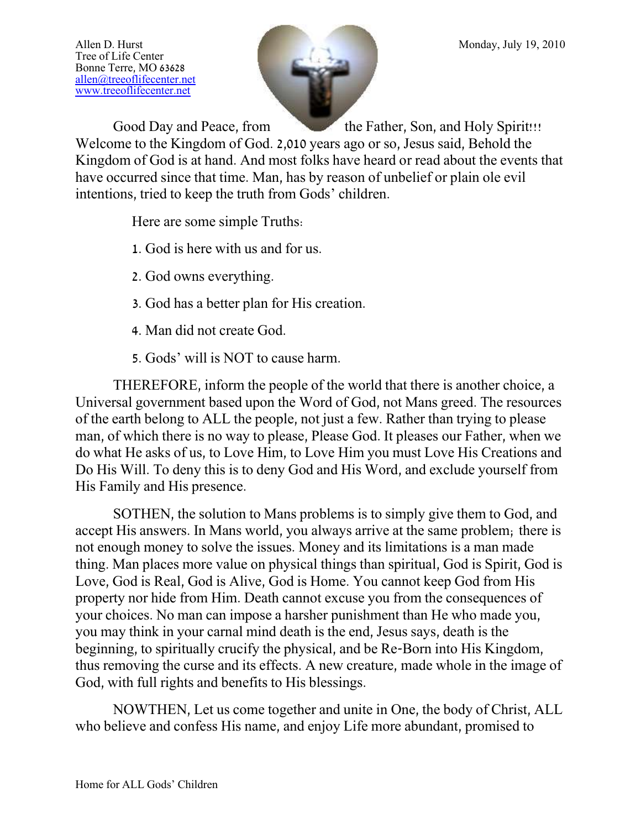Tree of Life Center Bonne Terre, MO 63628 [allen@treeoflifecenter.net](mailto:allen@treeoflifecenter.net) [www.treeoflifecenter.net](http://www.treeoflifecenter.net/)



Good Day and Peace, from the Father, Son, and Holy Spirit!!! Welcome to the Kingdom of God. 2,010 years ago or so, Jesus said, Behold the Kingdom of God is at hand. And most folks have heard or read about the events that have occurred since that time. Man, has by reason of unbelief or plain ole evil intentions, tried to keep the truth from Gods' children.

Here are some simple Truths:

- 1. God is here with us and for us.
- 2. God owns everything.
- 3. God has a better plan for His creation.
- 4. Man did not create God.
- 5. Gods' will is NOT to cause harm.

THEREFORE, inform the people of the world that there is another choice, a Universal government based upon the Word of God, not Mans greed. The resources of the earth belong to ALL the people, not just a few. Rather than trying to please man, of which there is no way to please, Please God. It pleases our Father, when we do what He asks of us, to Love Him, to Love Him you must Love His Creations and Do His Will. To deny this is to deny God and His Word, and exclude yourself from His Family and His presence.

SOTHEN, the solution to Mans problems is to simply give them to God, and accept His answers. In Mans world, you always arrive at the same problem; there is not enough money to solve the issues. Money and its limitations is a man made thing. Man places more value on physical things than spiritual, God is Spirit, God is Love, God is Real, God is Alive, God is Home. You cannot keep God from His property nor hide from Him. Death cannot excuse you from the consequences of your choices. No man can impose a harsher punishment than He who made you, you may think in your carnal mind death is the end, Jesus says, death is the beginning, to spiritually crucify the physical, and be Re-Born into His Kingdom, thus removing the curse and its effects. A new creature, made whole in the image of God, with full rights and benefits to His blessings.

NOWTHEN, Let us come together and unite in One, the body of Christ, ALL who believe and confess His name, and enjoy Life more abundant, promised to